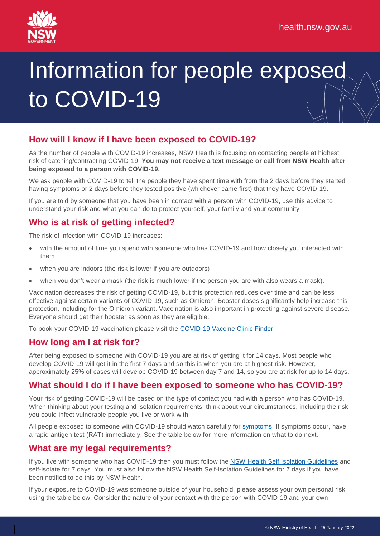# Information for people exposed to COVID-19

# **How will I know if I have been exposed to COVID-19?**

As the number of people with COVID-19 increases, NSW Health is focusing on contacting people at highest risk of catching/contracting COVID-19. **You may not receive a text message or call from NSW Health after being exposed to a person with COVID-19.**

We ask people with COVID-19 to tell the people they have spent time with from the 2 days before they started having symptoms or 2 days before they tested positive (whichever came first) that they have COVID-19.

If you are told by someone that you have been in contact with a person with COVID-19, use this advice to understand your risk and what you can do to protect yourself, your family and your community.

### **Who is at risk of getting infected?**

The risk of infection with COVID-19 increases:

- with the amount of time you spend with someone who has COVID-19 and how closely you interacted with them
- when you are indoors (the risk is lower if you are outdoors)
- when you don't wear a mask (the risk is much lower if the person you are with also wears a mask).

Vaccination decreases the risk of getting COVID-19, but this protection reduces over time and can be less effective against certain variants of COVID-19, such as Omicron. Booster doses significantly help increase this protection, including for the Omicron variant. Vaccination is also important in protecting against severe disease. Everyone should get their booster as soon as they are eligible.

To book your COVID-19 vaccination please visit the [COVID-19](https://www.health.gov.au/resources/apps-and-tools/covid-19-vaccine-clinic-finder) Vaccine Clinic Finder.

# **How long am I at risk for?**

After being exposed to someone with COVID-19 you are at risk of getting it for 14 days. Most people who develop COVID-19 will get it in the first 7 days and so this is when you are at highest risk. However, approximately 25% of cases will develop COVID-19 between day 7 and 14, so you are at risk for up to 14 days.

#### **What should I do if I have been exposed to someone who has COVID-19?**

Your risk of getting COVID-19 will be based on the type of contact you had with a person who has COVID-19. When thinking about your testing and isolation requirements, think about your circumstances, including the risk you could infect vulnerable people you live or work with.

All people exposed to someone with COVID-19 should watch carefully for [symptoms.](https://www.nsw.gov.au/covid-19/stay-safe/testing/symptoms#toc-symptoms-of-covid-19) If symptoms occur, have a rapid antigen test (RAT) immediately. See the table below for more information on what to do next.

#### **What are my legal requirements?**

If you live with someone who has COVID-19 then you must follow the NSW Health Self Isolation [Guidelines](https://www.health.nsw.gov.au/Infectious/factsheets/Pages/self-isolation-covid-and-close.aspx) and self-isolate for 7 days. You must also follow the NSW Health Self-Isolation Guidelines for 7 days if you have been notified to do this by NSW Health.

If your exposure to COVID-19 was someone outside of your household, please assess your own personal risk using the table below. Consider the nature of your contact with the person with COVID-19 and your own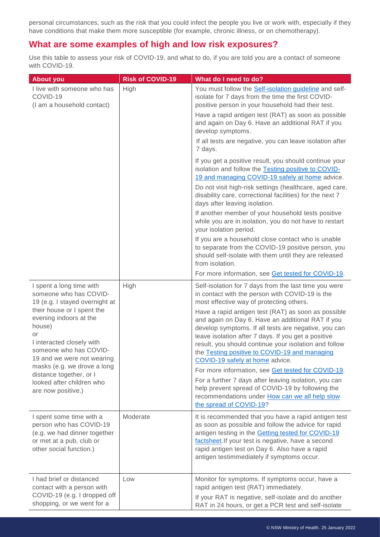personal circumstances, such as the risk that you could infect the people you live or work with, especially if they have conditions that make them more susceptible (for example, chronic illness, or on chemotherapy).

#### **What are some examples of high and low risk exposures?**

Use this table to assess your risk of COVID-19, and what to do, if you are told you are a contact of someone with COVID-19.

| <b>About you</b>                                                                                                                                                                                                                                                                                                                                               | <b>Risk of COVID-19</b> | What do I need to do?                                                                                                                                                                                                                                                                                                                                                |
|----------------------------------------------------------------------------------------------------------------------------------------------------------------------------------------------------------------------------------------------------------------------------------------------------------------------------------------------------------------|-------------------------|----------------------------------------------------------------------------------------------------------------------------------------------------------------------------------------------------------------------------------------------------------------------------------------------------------------------------------------------------------------------|
| I live with someone who has<br>COVID-19<br>(I am a household contact)                                                                                                                                                                                                                                                                                          | High                    | You must follow the Self-isolation guideline and self-<br>isolate for 7 days from the time the first COVID-<br>positive person in your household had their test.<br>Have a rapid antigen test (RAT) as soon as possible<br>and again on Day 6. Have an additional RAT if you                                                                                         |
|                                                                                                                                                                                                                                                                                                                                                                |                         | develop symptoms.<br>If all tests are negative, you can leave isolation after<br>7 days.                                                                                                                                                                                                                                                                             |
|                                                                                                                                                                                                                                                                                                                                                                |                         | If you get a positive result, you should continue your<br>isolation and follow the Testing positive to COVID-<br>19 and managing COVID-19 safely at home advice.                                                                                                                                                                                                     |
|                                                                                                                                                                                                                                                                                                                                                                |                         | Do not visit high-risk settings (healthcare, aged care,<br>disability care, correctional facilities) for the next 7<br>days after leaving isolation.                                                                                                                                                                                                                 |
|                                                                                                                                                                                                                                                                                                                                                                |                         | If another member of your household tests positive<br>while you are in isolation, you do not have to restart<br>your isolation period.                                                                                                                                                                                                                               |
|                                                                                                                                                                                                                                                                                                                                                                |                         | If you are a household close contact who is unable<br>to separate from the COVID-19 positive person, you<br>should self-isolate with them until they are released<br>from isolation.                                                                                                                                                                                 |
|                                                                                                                                                                                                                                                                                                                                                                |                         | For more information, see Get tested for COVID-19.                                                                                                                                                                                                                                                                                                                   |
| I spent a long time with<br>someone who has COVID-<br>19 (e.g. I stayed overnight at<br>their house or I spent the<br>evening indoors at the<br>house)<br>or<br>I interacted closely with<br>someone who has COVID-<br>19 and we were not wearing<br>masks (e.g. we drove a long<br>distance together, or I<br>looked after children who<br>are now positive.) | High                    | Self-isolation for 7 days from the last time you were<br>in contact with the person with COVID-19 is the<br>most effective way of protecting others.                                                                                                                                                                                                                 |
|                                                                                                                                                                                                                                                                                                                                                                |                         | Have a rapid antigen test (RAT) as soon as possible<br>and again on Day 6. Have an additional RAT if you<br>develop symptoms. If all tests are negative, you can<br>leave isolation after 7 days. If you get a positive<br>result, you should continue your isolation and follow<br>the Testing positive to COVID-19 and managing<br>COVID-19 safely at home advice. |
|                                                                                                                                                                                                                                                                                                                                                                |                         | For more information, see Get tested for COVID-19.<br>For a further 7 days after leaving isolation, you can<br>help prevent spread of COVID-19 by following the<br>recommendations under How can we all help slow<br>the spread of COVID-19?                                                                                                                         |
| I spent some time with a<br>person who has COVID-19<br>(e.g. we had dinner together<br>or met at a pub, club or<br>other social function.)                                                                                                                                                                                                                     | Moderate                | It is recommended that you have a rapid antigen test<br>as soon as possible and follow the advice for rapid<br>antigen testing in the Getting tested for COVID-19<br>factsheet. If your test is negative, have a second<br>rapid antigen test on Day 6. Also have a rapid<br>antigen testimmediately if symptoms occur.                                              |
| I had brief or distanced<br>contact with a person with<br>COVID-19 (e.g. I dropped off<br>shopping, or we went for a                                                                                                                                                                                                                                           | Low                     | Monitor for symptoms. If symptoms occur, have a<br>rapid antigen test (RAT) immediately.<br>If your RAT is negative, self-isolate and do another<br>RAT in 24 hours, or get a PCR test and self-isolate                                                                                                                                                              |